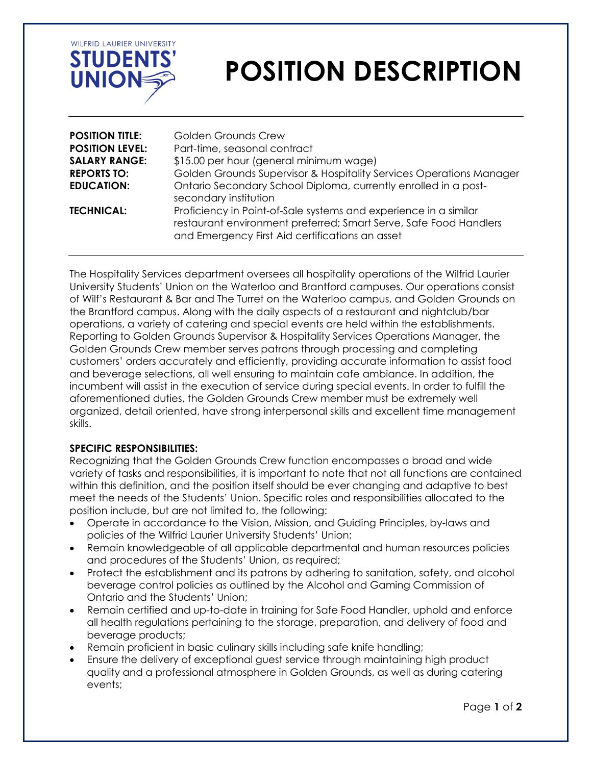

# **POSITION DESCRIPTION**

| <b>POSITION TITLE:</b> | <b>Golden Grounds Crew</b>                                                                                                                                                               |
|------------------------|------------------------------------------------------------------------------------------------------------------------------------------------------------------------------------------|
| <b>POSITION LEVEL:</b> | Part-time, seasonal contract                                                                                                                                                             |
| <b>SALARY RANGE:</b>   | \$15.00 per hour (general minimum wage)                                                                                                                                                  |
| <b>REPORTS TO:</b>     | Golden Grounds Supervisor & Hospitality Services Operations Manager                                                                                                                      |
| <b>EDUCATION:</b>      | Ontario Secondary School Diploma, currently enrolled in a post-<br>secondary institution                                                                                                 |
| <b>TECHNICAL:</b>      | Proficiency in Point-of-Sale systems and experience in a similar<br>restaurant environment preferred; Smart Serve, Safe Food Handlers<br>and Emergency First Aid certifications an asset |

The Hospitality Services department oversees all hospitality operations of the Wilfrid Laurier University Students' Union on the Waterloo and Brantford campuses. Our operations consist of Wilf's Restaurant & Bar and The Turret on the Waterloo campus, and Golden Grounds on the Brantford campus. Along with the daily aspects of a restaurant and nightclub/bar operations, a variety of catering and special events are held within the establishments. Reporting to Golden Grounds Supervisor & Hospitality Services Operations Manager, the Golden Grounds Crew member serves patrons through processing and completing customers' orders accurately and efficiently, providing accurate information to assist food and beverage selections, all well ensuring to maintain cafe ambiance. In addition, the incumbent will assist in the execution of service during special events. In order to fulfill the aforementioned duties, the Golden Grounds Crew member must be extremely well organized, detail oriented, have strong interpersonal skills and excellent time management skills.

#### **SPECIFIC RESPONSIBILITIES:**

Recognizing that the Golden Grounds Crew function encompasses a broad and wide variety of tasks and responsibilities, it is important to note that not all functions are contained within this definition, and the position itself should be ever changing and adaptive to best meet the needs of the Students' Union. Specific roles and responsibilities allocated to the position include, but are not limited to, the following:

- Operate in accordance to the Vision, Mission, and Guiding Principles, by-laws and policies of the Wilfrid Laurier University Students' Union;
- Remain knowledgeable of all applicable departmental and human resources policies and procedures of the Students' Union, as required;
- Protect the establishment and its patrons by adhering to sanitation, safety, and alcohol beverage control policies as outlined by the Alcohol and Gaming Commission of Ontario and the Students' Union;
- Remain certified and up-to-date in training for Safe Food Handler, uphold and enforce all health regulations pertaining to the storage, preparation, and delivery of food and beverage products;
- Remain proficient in basic culinary skills including safe knife handling;
- Ensure the delivery of exceptional guest service through maintaining high product quality and a professional atmosphere in Golden Grounds, as well as during catering events;